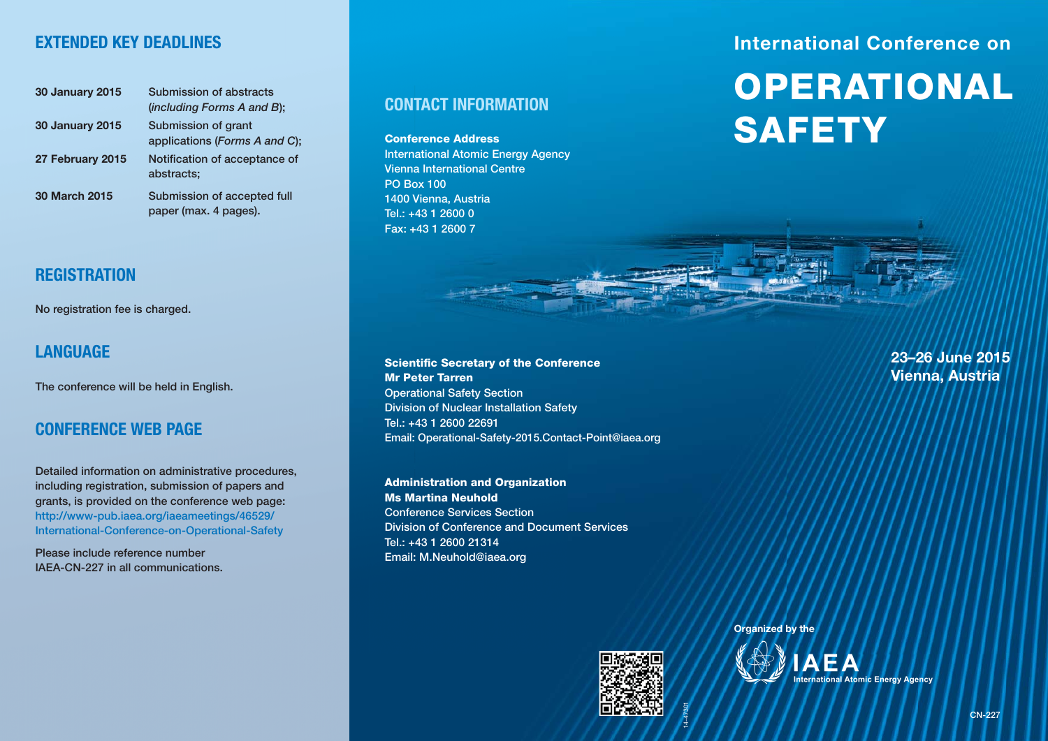### **EXTENDED KEY DEADLINES**

| <b>30 January 2015</b> | Submission of abstracts<br>(including Forms A and B); |
|------------------------|-------------------------------------------------------|
| <b>30 January 2015</b> | Submission of grant<br>applications (Forms A and C);  |
| 27 February 2015       | Notification of acceptance of<br>abstracts;           |
| <b>30 March 2015</b>   | Submission of accepted full<br>paper (max. 4 pages).  |

### **REGISTRATION**

**No registration fee is charged.**

### **LANGUAGE**

**The conference will be held in English.**

## **CONFERENCE WEB PAGE**

**Detailed information on administrative procedures, including registration, submission of papers and grants, is provided on the conference web page: http://www-pub.iaea.org/iaeameetings/46529/ International-Conference-on-Operational-Safety**

**Please include reference number IAEA-CN-227 in all communications.**

#### **CONTACT INFORMATION**

**Conference Address International Atomic Energy Agency Vienna International Centre PO Box 100 1400 Vienna, Austria Tel.: +43 1 2600 0 Fax: +43 1 2600 7**

## **International Conference on**

# **OPERATIONAL SAFETY**

**Scientific Secretary of the Conference Mr Peter Tarren Operational Safety Section Division of Nuclear Installation Safety Tel.: +43 1 2600 22691 Email: Operational-Safety-2015.Contact-Point@iaea.org** 

**Administration and Organization Ms Martina Neuhold Conference Services Section Division of Conference and Document Services Tel.: +43 1 2600 21314 Email: M.Neuhold@iaea.org**



14-47301

**23–26 June 2015 Vienna, Austria**

**Organized by the**

Organized by the<br>
MAEA